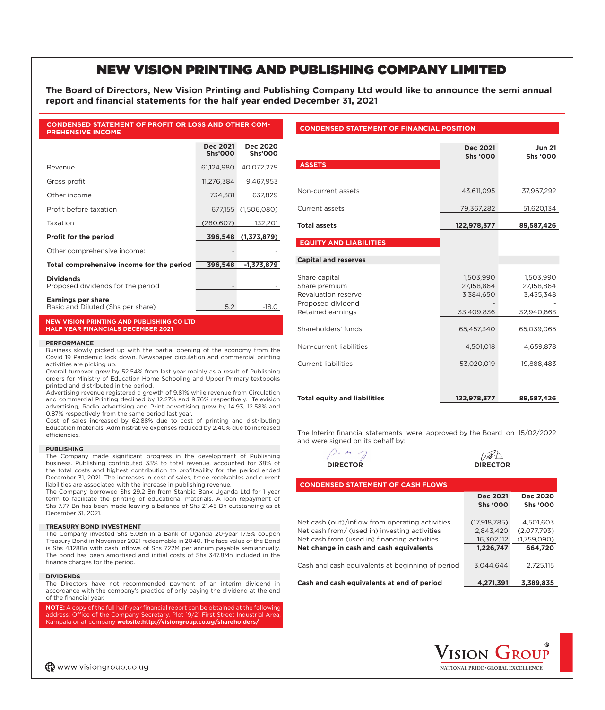# NEW VISION PRINTING AND PUBLISHING COMPANY LIMITED

**The Board of Directors, New Vision Printing and Publishing Company Ltd would like to announce the semi annual**  report and financial statements for the half year ended December 31, 2021

### **CONDENSED STATEMENT OF PROFIT OR LOSS AND OTHER COM-PREHENSIVE INCOME**

|                                                                | <b>Dec 2021</b><br><b>Shs'000</b> | <b>Dec 2020</b><br><b>Shs'000</b> |
|----------------------------------------------------------------|-----------------------------------|-----------------------------------|
| Revenue                                                        | 61,124,980                        | 40,072,279                        |
| Gross profit                                                   | 11,276,384                        | 9,467,953                         |
| Other income                                                   | 734.381                           | 637,829                           |
| Profit before taxation                                         | 677,155                           | (1,506,080)                       |
| Taxation                                                       | (280,607)                         | 132,201                           |
| <b>Profit for the period</b>                                   | 396,548                           | (1,373,879)                       |
| Other comprehensive income:                                    |                                   |                                   |
| Total comprehensive income for the period                      | 396,548                           | $-1,373,879$                      |
| <b>Dividends</b><br>Proposed dividends for the period          |                                   |                                   |
| <b>Earnings per share</b><br>Basic and Diluted (Shs per share) | 5.2                               | $-18.0$                           |

### **NEW VISION PRINTING AND PUBLISHING CO LTD HALF YEAR FINANCIALS DECEMBER 2021**

#### **PERFORMANCE**

Business slowly picked up with the partial opening of the economy from the Covid 19 Pandemic lock down. Newspaper circulation and commercial printing activities are picking up.

Overall turnover grew by 52.54% from last year mainly as a result of Publishing orders for Ministry of Education Home Schooling and Upper Primary textbooks printed and distributed in the period.

Advertising revenue registered a growth of 9.81% while revenue from Circulation and commercial Printing declined by 12.27% and 9.76% respectively. Television advertising, Radio advertising and Print advertising grew by 14.93, 12.58% and 0.87% respectively from the same period last year.

Cost of sales increased by 62.88% due to cost of printing and distributing Education materials. Administrative expenses reduced by 2.40% due to increased efficiencies.

#### **PUBLISHING**

The Company made significant progress in the development of Publishing business. Publishing contributed 33% to total revenue, accounted for 38% of the total costs and highest contribution to profitability for the period ended December 31, 2021. The increases in cost of sales, trade receivables and current liabilities are associated with the increase in publishing revenue.

The Company borrowed Shs 29.2 Bn from Stanbic Bank Uganda Ltd for 1 year term to facilitate the printing of educational materials. A loan repayment of Shs 7.77 Bn has been made leaving a balance of Shs 21.45 Bn outstanding as at December 31, 2021.

#### **TREASURY BOND INVESTMENT**

The Company invested Shs 5.0Bn in a Bank of Uganda 20-year 17.5% coupon Treasury Bond in November 2021 redeemable in 2040. The face value of the Bond is Shs 4.128Bn with cash inflows of Shs 722M per annum payable semiannually. The bond has been amortised and initial costs of Shs 347.8Mn included in the finance charges for the period.

#### **DIVIDENDS**

The Directors have not recommended payment of an interim dividend in accordance with the company's practice of only paying the dividend at the end of the financial year.

**NOTE:** A copy of the full half-year financial report can be obtained at the following address: Office of the Company Secretary, Plot 19/21 First Street Industrial Area Kampala or at company **website:http://visiongroup.co.ug/shareholders/**

## **CONDENSED STATEMENT OF FINANCIAL POSITION**

| <b>ASSETS</b>                                                                                   | <b>Dec 2021</b><br><b>Shs '000</b>                 | <b>Jun 21</b><br><b>Shs '000</b>                   |  |
|-------------------------------------------------------------------------------------------------|----------------------------------------------------|----------------------------------------------------|--|
| Non-current assets                                                                              | 43,611,095                                         | 37,967,292                                         |  |
| Current assets                                                                                  | 79,367,282                                         | 51,620,134                                         |  |
| <b>Total assets</b>                                                                             | 122,978,377                                        | 89,587,426                                         |  |
| <b>EQUITY AND LIABILITIES</b>                                                                   |                                                    |                                                    |  |
| <b>Capital and reserves</b>                                                                     |                                                    |                                                    |  |
| Share capital<br>Share premium<br>Revaluation reserve<br>Proposed dividend<br>Retained earnings | 1,503,990<br>27,158,864<br>3,384,650<br>33,409,836 | 1,503,990<br>27,158,864<br>3,435,348<br>32,940,863 |  |
| Shareholders' funds                                                                             | 65,457,340                                         | 65,039,065                                         |  |
| Non-current liabilities                                                                         | 4,501,018                                          | 4,659,878                                          |  |
| Current liabilities                                                                             | 53,020,019                                         | 19,888,483                                         |  |
|                                                                                                 |                                                    |                                                    |  |
| <b>Total equity and liabilities</b>                                                             | 122,978,377                                        | 89,587,426                                         |  |

The Interim financial statements were approved by the Board on 15/02/2022 and were signed on its behalf by:





| <b>CONDENSED STATEMENT OF CASH FLOWS</b>         |                 |                 |  |  |  |  |
|--------------------------------------------------|-----------------|-----------------|--|--|--|--|
|                                                  | <b>Dec 2021</b> | <b>Dec 2020</b> |  |  |  |  |
|                                                  | <b>Shs '000</b> | <b>Shs '000</b> |  |  |  |  |
| Net cash (out)/inflow from operating activities  | (17.918.785)    | 4,501,603       |  |  |  |  |
| Net cash from/ (used in) investing activities    | 2.843.420       | (2,077,793)     |  |  |  |  |
| Net cash from (used in) financing activities     | 16.302.112      | (1.759.090)     |  |  |  |  |
| Net change in cash and cash equivalents          | 1,226,747       | 664,720         |  |  |  |  |
| Cash and cash equivalents at beginning of period | 3.044.644       | 2.725.115       |  |  |  |  |
| Cash and cash equivalents at end of period       | 4.271.391       | 3,389,835       |  |  |  |  |